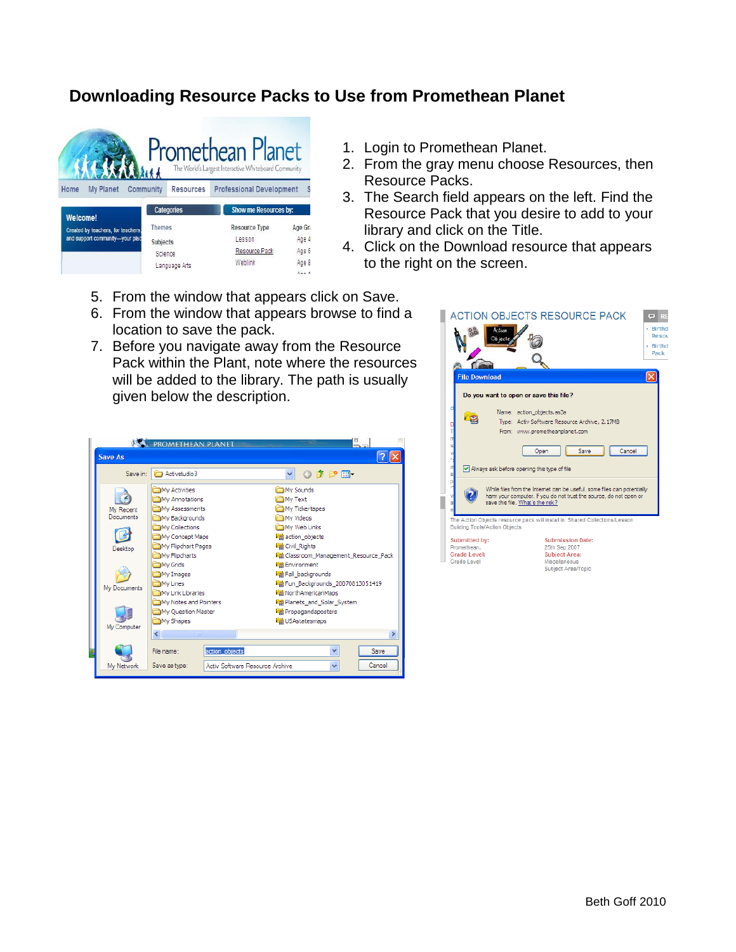## **Downloading Resource Packs to Use from Promethean Planet**



- 1. Login to Promethean Planet.
- 2. From the gray menu choose Resources, then Resource Packs.
- 3. The Search field appears on the left. Find the Resource Pack that you desire to add to your library and click on the Title.
- 4. Click on the Download resource that appears to the right on the screen.
- 5. From the window that appears click on Save.
- 6. From the window that appears browse to find a location to save the pack.
- 7. Before you navigate away from the Resource Pack within the Plant, note where the resources will be added to the library. The path is usually given below the description.

|                | <b>ASS. PROMETHEAN PLANET</b>                    | 5.                                 |
|----------------|--------------------------------------------------|------------------------------------|
| <b>Save As</b> |                                                  |                                    |
| Save in:       | Activistudio 3                                   | ◎ 康 彦 冊 -<br>v                     |
|                | My Activities                                    | My Sounds                          |
|                | My Annotations                                   | Mv Text                            |
| My Recent      | My Assessments                                   | My Tickertapes                     |
| Documents      | My Backgrounds                                   | My Videos                          |
|                | My Collections                                   | My Web Links                       |
|                | My Concept Maps                                  | action objects                     |
| Desktop        | My Flipchart Pages                               | <b>Ed Civil Rights</b>             |
|                | My Flipcharts                                    | Classroom_Management_Resource_Pack |
|                | My Grids                                         | <b>Environment</b>                 |
|                | My Images                                        | Fall_backgrounds                   |
|                | My Lines                                         | Fig Fun Backgrounds 20070813051419 |
| My Documents   | My Link Libraries                                | <b>■ NorthAmericanMaps</b>         |
|                | My Notes and Pointers                            | Pa Planets_and_Solar_System        |
|                | My Ouestion Master                               | Propagandaposters                  |
|                | My Shapes                                        | <b>ValuSAstatesmaps</b>            |
| My Computer    | $\left\langle \cdot \right\rangle$<br>THE.       | ×                                  |
|                |                                                  |                                    |
|                | action objects<br>File name:                     | v<br><b>Save</b>                   |
| My Network     | Save as type:<br>Activ Software Resource Archive | Cancel<br>v                        |
|                |                                                  |                                    |